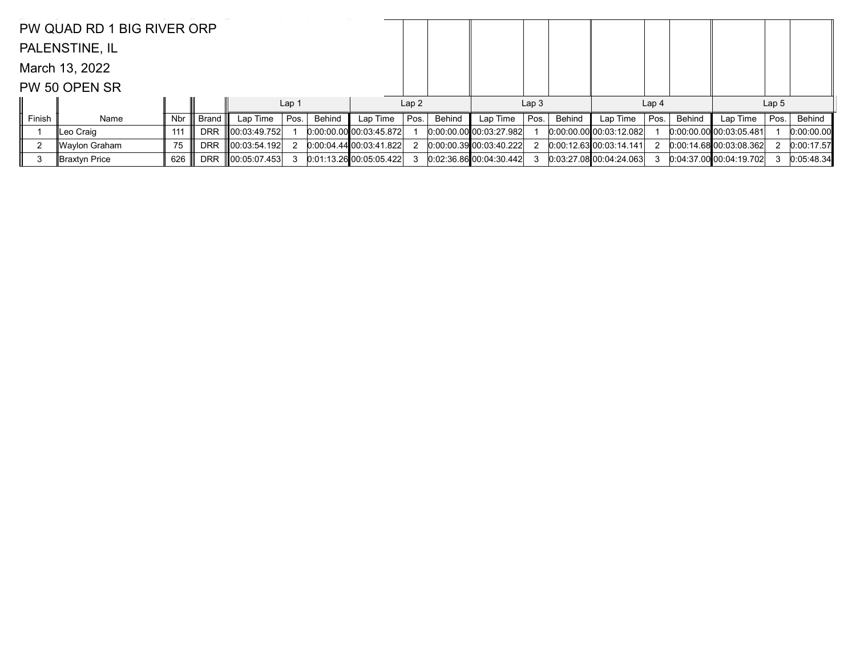|        | PW QUAD RD 1 BIG RIVER ORP |     |            |                    |                  |        |                           |      |        |                                 |                  |        |                           |                  |        |                           |                  |            |
|--------|----------------------------|-----|------------|--------------------|------------------|--------|---------------------------|------|--------|---------------------------------|------------------|--------|---------------------------|------------------|--------|---------------------------|------------------|------------|
|        | PALENSTINE, IL             |     |            |                    |                  |        |                           |      |        |                                 |                  |        |                           |                  |        |                           |                  |            |
|        | March 13, 2022             |     |            |                    |                  |        |                           |      |        |                                 |                  |        |                           |                  |        |                           |                  |            |
|        | PW 50 OPEN SR              |     |            |                    |                  |        |                           |      |        |                                 |                  |        |                           |                  |        |                           |                  |            |
|        |                            |     |            |                    | Lap <sub>1</sub> |        |                           | Lap2 |        |                                 | Lap <sub>3</sub> |        |                           | Lap <sub>4</sub> |        |                           | Lap <sub>5</sub> |            |
| Finish | Name                       | Nbr | Brand I    | Lap Time $ $ Pos.  |                  | Behind | Lap Time                  | Pos. | Behind | Lap Time                        | Pos.             | Behind | Lap Time                  | Pos.             | Behind | Lap Time                  | Pos.             | Behind     |
|        | ∥Leo Craiq                 | 111 | <b>DRR</b> | $\ 00:03:49.752\ $ |                  |        | $0:00:00.00$ 00:03:45.872 |      |        | $[0:00:00.00]$ $[00:03:27.982]$ |                  |        | $0.00.00.00$ 00:03:12.082 |                  |        | 0.00:00.00 00:03:05.481   |                  | 0:00:00.00 |
|        | ∥Waylon Graham             | 75  | <b>DRR</b> | $\ 00:03:54.192\ $ |                  |        | 0.00.04.4400.03.41.822    |      |        | 0.00.00.39 00.03.40.222         |                  |        | 0.0012.630000314.141      |                  |        | $0.00.14.68$ 00:03:08.362 |                  | 0:00:17.57 |
| 3      | ∥Braxtyn Price             | 626 | <b>DRR</b> | $\ 00:05:07.453\ $ |                  |        | 0.01.13.26 00.05.05.422   |      |        | 0.0236.86000.0430.442           |                  |        | 0.03:27.08000:04:24.063   |                  |        | 0.04:37.00000:04:19.702   | 3                | 0:05:48.34 |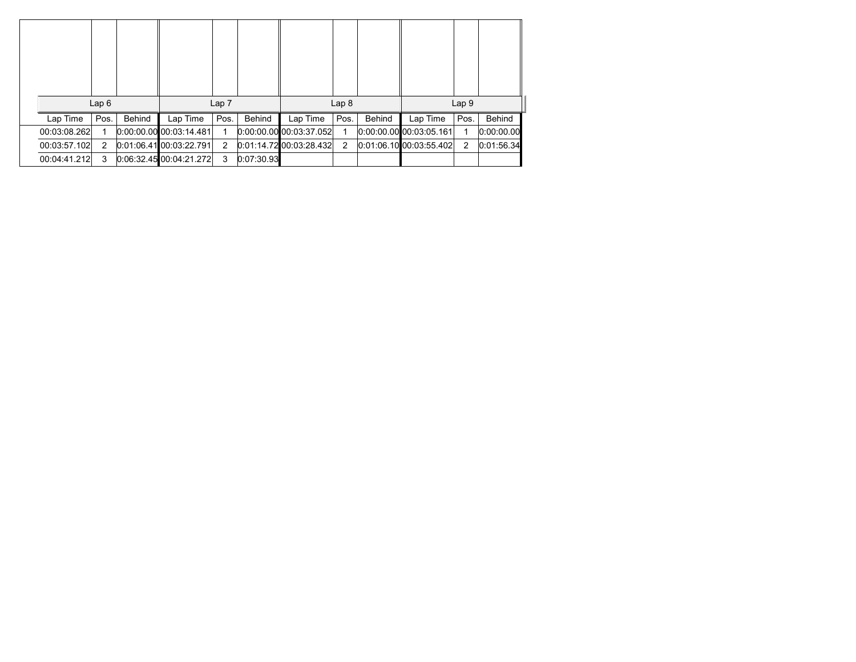|              | Lap6 |        |                           | Lap <sub>7</sub> |            |                           | Lap <sub>8</sub> |        |                         | Lap <sub>9</sub> |            |
|--------------|------|--------|---------------------------|------------------|------------|---------------------------|------------------|--------|-------------------------|------------------|------------|
| Lap Time     | Pos. | Behind | Lap Time                  | Pos.             | Behind     | Lap Time                  | Pos.             | Behind | Lap Time                | Pos.             | Behind     |
| 00:03:08.262 |      |        | $0:00:00.00$ 00:03:14.481 |                  |            | $0:00:00.00$ 00:03:37.052 |                  |        | 0.00.00.00 00.03.05.161 |                  | 0:00:00.00 |
| 00:03:57.102 | 2    |        | $0:01:06.41$ 00:03:22.791 | 2                |            | $0:01:14.72$ 00:03:28.432 | 2                |        | 0.01.06.10 00.03.55.402 | 2                | 0:01:56.34 |
| 00:04:41.212 | 3    |        | $0:06:32.45$ 00:04:21.272 | 3                | 0:07:30.93 |                           |                  |        |                         |                  |            |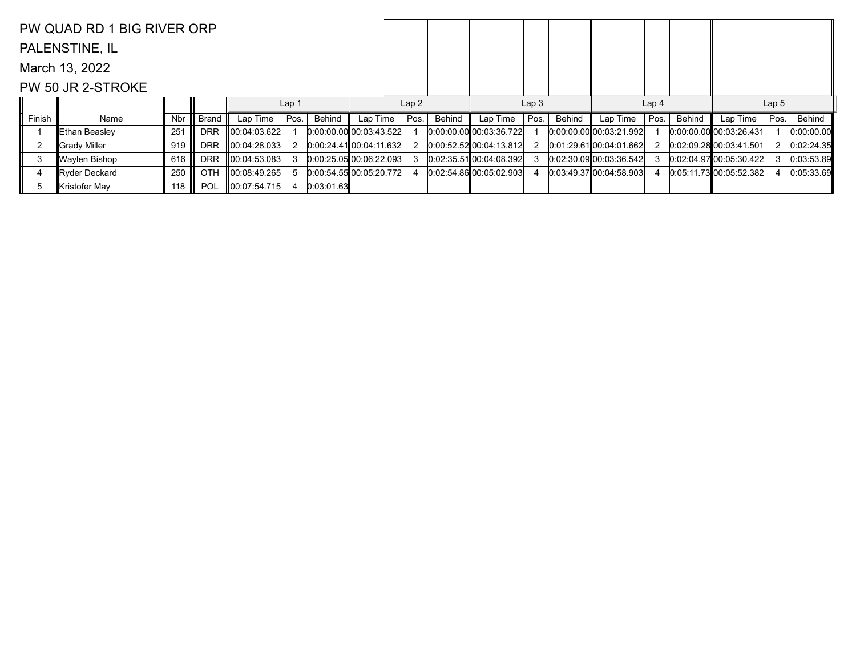|                | PW QUAD RD 1 BIG RIVER ORP |     |            |                      |                  |            |                           |      |        |                         |                  |        |                           |                  |        |                         |                  |            |
|----------------|----------------------------|-----|------------|----------------------|------------------|------------|---------------------------|------|--------|-------------------------|------------------|--------|---------------------------|------------------|--------|-------------------------|------------------|------------|
|                | PALENSTINE, IL             |     |            |                      |                  |            |                           |      |        |                         |                  |        |                           |                  |        |                         |                  |            |
|                | March 13, 2022             |     |            |                      |                  |            |                           |      |        |                         |                  |        |                           |                  |        |                         |                  |            |
|                | PW 50 JR 2-STROKE          |     |            |                      |                  |            |                           |      |        |                         |                  |        |                           |                  |        |                         |                  |            |
|                |                            |     |            |                      | Lap <sub>1</sub> |            |                           | Lap2 |        |                         | Lap <sub>3</sub> |        |                           | Lap <sub>4</sub> |        |                         | Lap <sub>5</sub> |            |
| Finish         | Name                       | Nbr | Brand      | Lap Time             | Pos.             | Behind     | Lap Time                  | Pos. | Behind | Lap Time                | Pos.             | Behind | Lap Time                  | Pos.             | Behind | Lap Time                | Pos.             | Behind     |
|                | ∥Ethan Beasley             | 251 | <b>DRR</b> | 00:04:03.622         |                  |            | $0:00:00.00$ 00:03:43.522 |      |        | 0.00.00.00 00.0336.722  |                  |        | $0.00.00.00$ 00:03:21.992 |                  |        | 0.00.00.00 00.03.26.431 |                  | 0:00:00.00 |
| $\overline{2}$ | ∥Grady Miller              | 919 | <b>DRR</b> | $\  00:04:28.033 \ $ |                  |            | 0:00:24.41 00:04:11.632   |      |        | 0.00.52.52 00.04.13.812 |                  |        | $0.01:29.61$ 00:04:01.662 |                  |        | 0.02.09.28000.03.41.501 |                  | 0:02:24.35 |
| 3              | Waylen Bishop              | 616 | <b>DRR</b> | 00:04:53.083         |                  |            | 0.00:25.0500:06:22.093    |      |        | 0.02:35.51100:04:08.392 |                  |        | 0.02:30.0900:03:36.542    |                  |        | 0.02:04.9700:05:30.422  |                  | 0:03:53.89 |
| 4              | Ryder Deckard              | 250 | <b>OTH</b> | $\ 00:08:49.265\ $   |                  |            | 0:00:54.5500:05:20.772    |      |        | 0.02.54.86 00.05.02.903 |                  |        | 0.03:49.37100.04:58.903   |                  |        | 0.05:11.73100:05:52.382 |                  | 0:05:33.69 |
| 5              | Kristofer May              | 118 | <b>POL</b> | $\ 00:07:54.715\ $   | 4                | 0:03:01.63 |                           |      |        |                         |                  |        |                           |                  |        |                         |                  |            |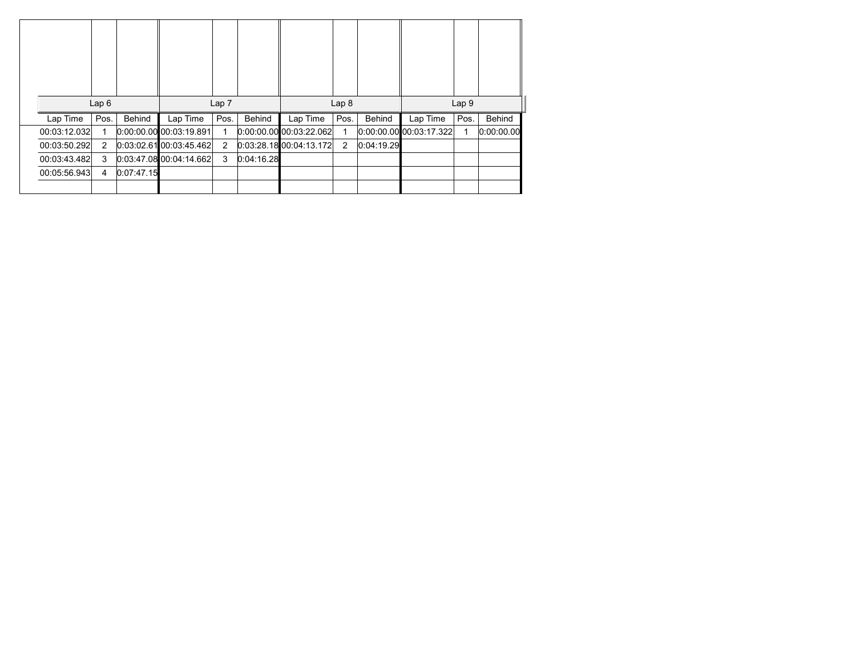|              | Lap6 |            |                           | Lap <sub>7</sub> |            |                           | Lap <sub>8</sub> |               |                         | Lap <sub>9</sub> |               |
|--------------|------|------------|---------------------------|------------------|------------|---------------------------|------------------|---------------|-------------------------|------------------|---------------|
| Lap Time     | Pos. | Behind     | Lap Time                  | Pos.             | Behind     | Lap Time                  | Pos.             | <b>Behind</b> | Lap Time                | Pos.             | <b>Behind</b> |
| 00:03:12.032 | 1    |            | $0:00:00.00$ 00:03:19.891 |                  |            | $0:00:00.00$ 00:03:22.062 | 1                |               | 0.00.00.00 00.03.17.322 | 1                | 0.00.00.00    |
| 00:03:50.292 | 2    |            | 0.03.02.6100.03.45.462    | $\overline{2}$   |            | 0.03:28.1800:04:13.172    | 2                | 0.04:19.29    |                         |                  |               |
| 00:03:43.482 | 3    |            | 0.03.47.08000.04.14.662   | 3                | 0.04:16.28 |                           |                  |               |                         |                  |               |
| 00:05:56.943 | 4    | 0:07:47.15 |                           |                  |            |                           |                  |               |                         |                  |               |
|              |      |            |                           |                  |            |                           |                  |               |                         |                  |               |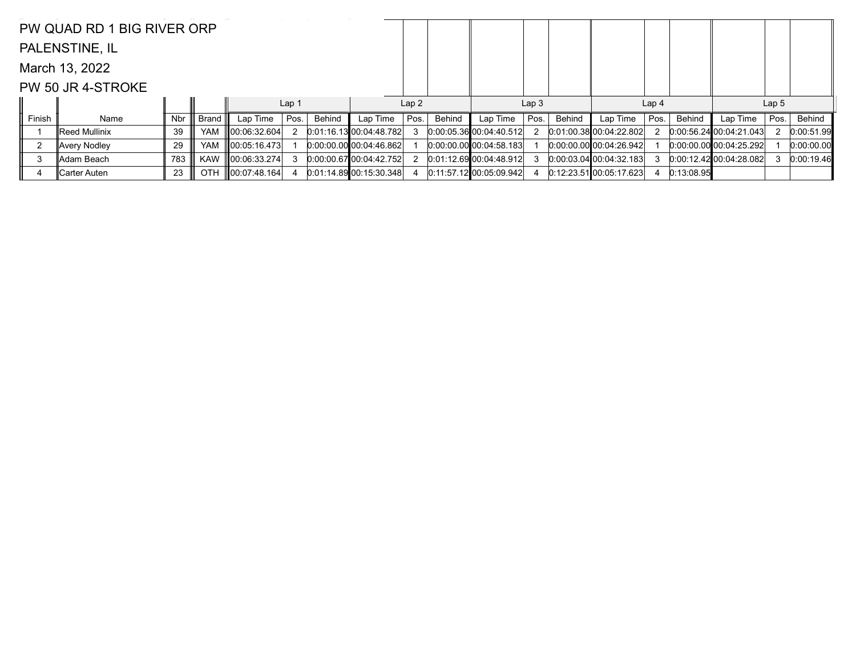|        | PW QUAD RD 1 BIG RIVER ORP |     |            |                    |                  |        |                         |      |        |                                 |                  |        |                           |                  |            |                             |                  |            |
|--------|----------------------------|-----|------------|--------------------|------------------|--------|-------------------------|------|--------|---------------------------------|------------------|--------|---------------------------|------------------|------------|-----------------------------|------------------|------------|
|        | PALENSTINE, IL             |     |            |                    |                  |        |                         |      |        |                                 |                  |        |                           |                  |            |                             |                  |            |
|        | March 13, 2022             |     |            |                    |                  |        |                         |      |        |                                 |                  |        |                           |                  |            |                             |                  |            |
|        | PW 50 JR 4-STROKE          |     |            |                    |                  |        |                         |      |        |                                 |                  |        |                           |                  |            |                             |                  |            |
|        |                            |     |            |                    | Lap <sub>1</sub> |        |                         | Lap2 |        |                                 | Lap <sub>3</sub> |        |                           | Lap <sub>4</sub> |            |                             | Lap <sub>5</sub> |            |
| Finish | Name                       | Nbr | Brand      | Lap Time           | Pos.             | Behind | Lap Time                | Pos. | Behind | Lap Time                        | Pos.             | Behind | Lap Time                  | Pos.             | Behind     | Lap Time                    | Pos.             | Behind     |
|        | ∥Reed Mullinix             | -39 | <b>YAM</b> | 00:06:32.604       |                  |        | 0:01:16.1300:04:48.782  |      |        | 0:00:05.3600:04:40.512          |                  |        | 0.01:00.3800:04:22.802    |                  |            | $[0.00:56.24]$ 00:04:21.043 |                  | 0:00:51.99 |
|        | Avery Nodley               | 29  | <b>YAM</b> | $\ 00:05:16.473\ $ |                  |        | 0.00.00.00 00.04:46.862 |      |        | $[0:00:00.00]$ $[00:04:58.183]$ |                  |        | 0.00.00.00 00.04.26.942   |                  |            | 0.00.00.00 00.04.25.292     |                  | 0:00:00.00 |
| 3      | ∥Adam Beach                | 783 | <b>KAW</b> | $\ 00:06:33.274\ $ |                  |        | 0.00.00.6700.04.42.752  |      |        | 0.01:12.69000.04.48.912         |                  |        | 0.00.03.04100.04.32.183   |                  |            | $[0.00:12.42]$ 00:04:28.082 |                  | 0:00:19.46 |
| 4      | ∥Carter Auten              | 23  | <b>OTH</b> | $\ 00:07:48.164\ $ |                  |        | 0:01:14.89 00:15:30.348 |      |        | $0:11:57.12$ 00:05:09.942       |                  |        | $0:12:23.51$ 00:05:17.623 |                  | 0:13:08.95 |                             |                  |            |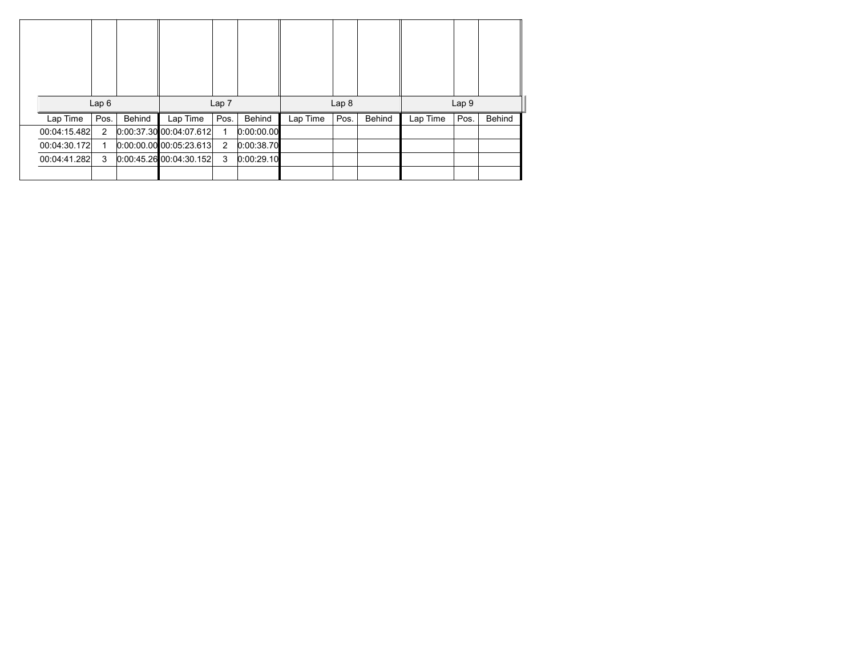|              | Lap6           |        |                         | Lap <sub>7</sub> |            |          | Lap <sub>8</sub> |               |          | Lap <sub>9</sub> |        |
|--------------|----------------|--------|-------------------------|------------------|------------|----------|------------------|---------------|----------|------------------|--------|
| Lap Time     | Pos.           | Behind | Lap Time                | Pos.             | Behind     | Lap Time | Pos.             | <b>Behind</b> | Lap Time | Pos.             | Behind |
| 00:04:15.482 | $\overline{2}$ |        | 0.00.37.30 00.04 07.612 | 1                | 0:00:00.00 |          |                  |               |          |                  |        |
| 00:04:30.172 | 1              |        | 0.00.00.00000005:23.613 | 2                | 0:00:38.70 |          |                  |               |          |                  |        |
| 00:04:41.282 | 3              |        | 0.00.45.2600.04.30.152  | 3                | 0:00:29.10 |          |                  |               |          |                  |        |
|              |                |        |                         |                  |            |          |                  |               |          |                  |        |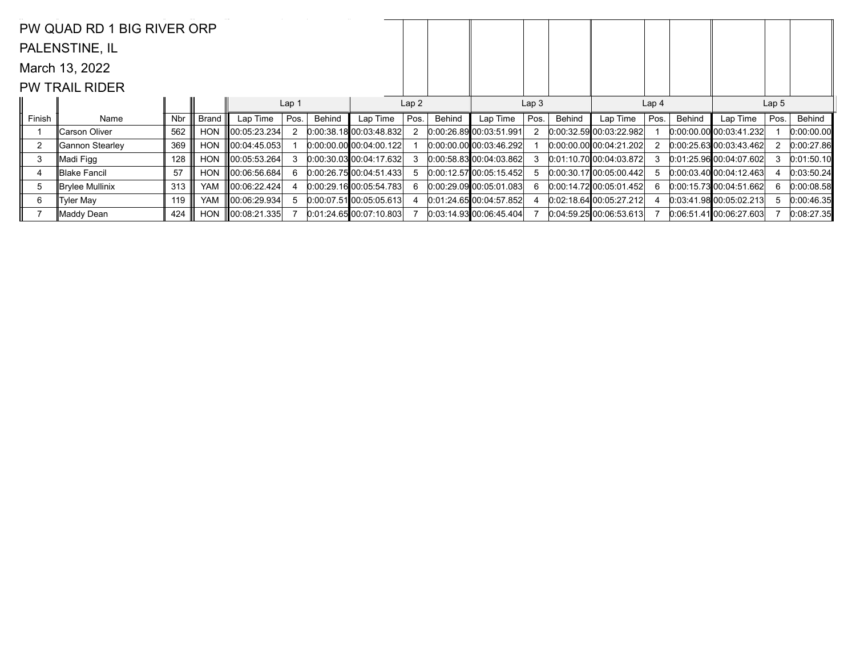|                | PW QUAD RD 1 BIG RIVER ORP |     |            |                    |                  |        |                                 |      |        |                              |                  |        |                             |                  |        |                                |                  |            |
|----------------|----------------------------|-----|------------|--------------------|------------------|--------|---------------------------------|------|--------|------------------------------|------------------|--------|-----------------------------|------------------|--------|--------------------------------|------------------|------------|
|                | PALENSTINE, IL             |     |            |                    |                  |        |                                 |      |        |                              |                  |        |                             |                  |        |                                |                  |            |
|                | March 13, 2022             |     |            |                    |                  |        |                                 |      |        |                              |                  |        |                             |                  |        |                                |                  |            |
|                | <b>PW TRAIL RIDER</b>      |     |            |                    |                  |        |                                 |      |        |                              |                  |        |                             |                  |        |                                |                  |            |
|                |                            |     |            |                    | Lap <sub>1</sub> |        |                                 | Lap2 |        |                              | Lap <sub>3</sub> |        |                             | Lap <sub>4</sub> |        |                                | Lap <sub>5</sub> |            |
| Finish         | Name                       | Nbr | Brand      | Lap Time           | Pos.             | Behind | Lap Time                        | Pos. | Behind | Lap Time                     | Pos.             | Behind | Lap Time                    | Pos.             | Behind | Lap Time                       | Pos.             | Behind     |
|                | Carson Oliver              | 562 | <b>HON</b> | 00:05:23.234       |                  |        | 0.00:38.1800:03:48.832          |      |        | 0.00.26.89 00.03.51.991      |                  |        | 0.00.32.59 00.03.22.982     |                  |        | $[0.00:00.00]$ $[0.03:41.232]$ |                  | 0:00:00.00 |
| $\overline{2}$ | ∥Gannon Stearley           | 369 | <b>HON</b> | 00:04:45.053       |                  |        | $[0:00:00.00]$ $[00:04:00.122]$ |      |        | $0.00.00$ 00 00 00:03:46.292 |                  |        | $0.00.00.00$ 00:04:21.202   |                  |        | $[0.00:25.63]$ 00:03:43.462    |                  | 0:00:27.86 |
| 3              | ∥Madi Figg                 | 128 | <b>HON</b> | $\ 00:05:53.264\ $ |                  |        | $[0.00:30.03]$ 00:04:17.632     |      |        | 0.00.58.83 00.04.03.862      |                  |        | $[0:01:10.70]$ 00:04:03.872 | 3                |        | 0.01:25.96000.04:07.602        |                  | 0:01:50.10 |
| 4              | ∥Blake Fancil              | 57  | <b>HON</b> | $\ 00:06:56.684\ $ | 6                |        | 0.00:26.75 00.04:51.433         |      |        | 0:00:12.5700:05:15.452       |                  |        | $[0:00:30.17]$ 00:05:00.442 | 5.               |        | $[0.00.03.40]$ 00:04:12.463    |                  | 0:03:50.24 |
| 5              | Brylee Mullinix            | 313 | <b>YAM</b> | 00:06:22.424       |                  |        | 0.00:29.1600:05:54.783          |      |        | $[0.00:29.09]$ 00:05:01.083  |                  |        | 0:00:14.7200:05:01.452      | 6.               |        | 0.00.15.7300.04.51.662         | 6                | 0:00:08.58 |
| 6              | <b>Tyler May</b>           | 119 | <b>YAM</b> | $\ 00:06:29.934\ $ | 5.               |        | $[0.00:07.51]$ 00:05:05.613     |      |        | 0:01:24.6500:04:57.852       |                  |        | 0.02:18.64100:05:27.212     |                  |        | 0.03:41.9800:05.02.213         |                  | 0:00:46.35 |
|                | ∥Maddy Dean                | 424 | HON        | $\ 00:08:21.335\ $ |                  |        | 0.01:24.6500.07:10.803          |      |        | 0.03:14.93[00:06:45.404]     |                  |        | 0.04.59.2500.06.53.613      |                  |        | 0.06:51.41[00:06:27.603]       |                  | 0:08:27.35 |